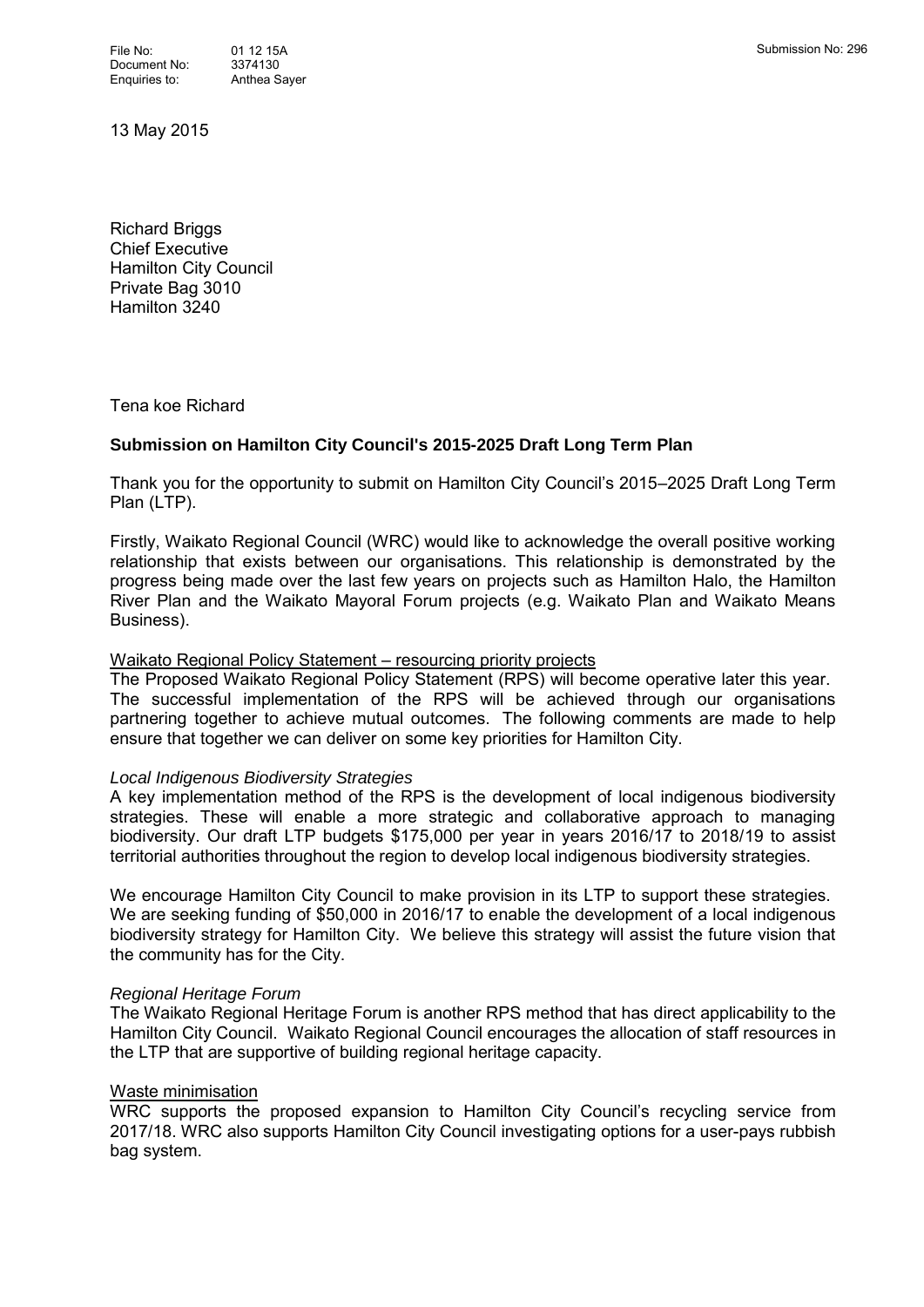13 May 2015

Richard Briggs Chief Executive Hamilton City Council Private Bag 3010 Hamilton 3240

Tena koe Richard

# **Submission on Hamilton City Council's 2015-2025 Draft Long Term Plan**

Thank you for the opportunity to submit on Hamilton City Council's 2015–2025 Draft Long Term Plan (LTP).

Firstly, Waikato Regional Council (WRC) would like to acknowledge the overall positive working relationship that exists between our organisations. This relationship is demonstrated by the progress being made over the last few years on projects such as Hamilton Halo, the Hamilton River Plan and the Waikato Mayoral Forum projects (e.g. Waikato Plan and Waikato Means Business).

#### Waikato Regional Policy Statement – resourcing priority projects

The Proposed Waikato Regional Policy Statement (RPS) will become operative later this year. The successful implementation of the RPS will be achieved through our organisations partnering together to achieve mutual outcomes. The following comments are made to help ensure that together we can deliver on some key priorities for Hamilton City.

#### *Local Indigenous Biodiversity Strategies*

A key implementation method of the RPS is the development of local indigenous biodiversity strategies. These will enable a more strategic and collaborative approach to managing biodiversity. Our draft LTP budgets \$175,000 per year in years 2016/17 to 2018/19 to assist territorial authorities throughout the region to develop local indigenous biodiversity strategies.

We encourage Hamilton City Council to make provision in its LTP to support these strategies. We are seeking funding of \$50,000 in 2016/17 to enable the development of a local indigenous biodiversity strategy for Hamilton City. We believe this strategy will assist the future vision that the community has for the City.

## *Regional Heritage Forum*

The Waikato Regional Heritage Forum is another RPS method that has direct applicability to the Hamilton City Council. Waikato Regional Council encourages the allocation of staff resources in the LTP that are supportive of building regional heritage capacity.

## Waste minimisation

WRC supports the proposed expansion to Hamilton City Council's recycling service from 2017/18. WRC also supports Hamilton City Council investigating options for a user-pays rubbish bag system.